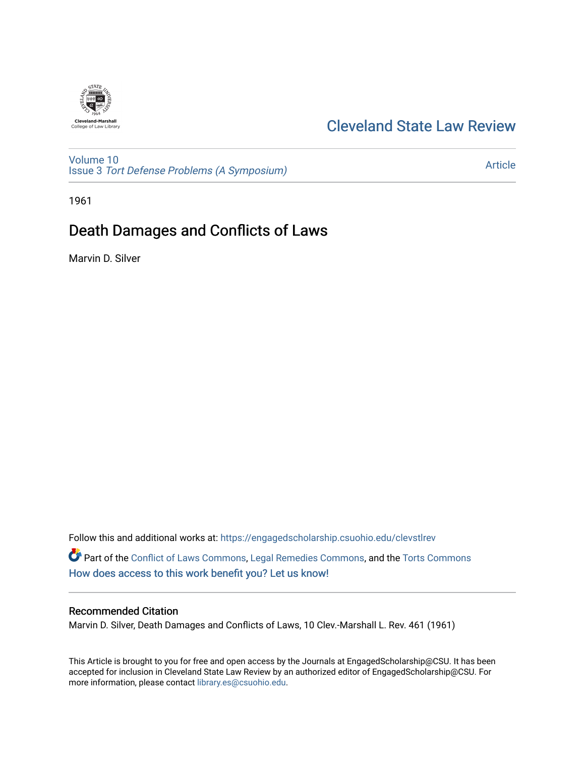

# [Cleveland State Law Review](https://engagedscholarship.csuohio.edu/clevstlrev)

[Volume 10](https://engagedscholarship.csuohio.edu/clevstlrev/vol10) Issue 3 [Tort Defense Problems \(A Symposium\)](https://engagedscholarship.csuohio.edu/clevstlrev/vol10/iss3)

[Article](https://engagedscholarship.csuohio.edu/clevstlrev/vol10/iss3/10) 

1961

# Death Damages and Conflicts of Laws

Marvin D. Silver

Follow this and additional works at: [https://engagedscholarship.csuohio.edu/clevstlrev](https://engagedscholarship.csuohio.edu/clevstlrev?utm_source=engagedscholarship.csuohio.edu%2Fclevstlrev%2Fvol10%2Fiss3%2F10&utm_medium=PDF&utm_campaign=PDFCoverPages) Part of the [Conflict of Laws Commons,](http://network.bepress.com/hgg/discipline/588?utm_source=engagedscholarship.csuohio.edu%2Fclevstlrev%2Fvol10%2Fiss3%2F10&utm_medium=PDF&utm_campaign=PDFCoverPages) [Legal Remedies Commons](http://network.bepress.com/hgg/discipline/618?utm_source=engagedscholarship.csuohio.edu%2Fclevstlrev%2Fvol10%2Fiss3%2F10&utm_medium=PDF&utm_campaign=PDFCoverPages), and the [Torts Commons](http://network.bepress.com/hgg/discipline/913?utm_source=engagedscholarship.csuohio.edu%2Fclevstlrev%2Fvol10%2Fiss3%2F10&utm_medium=PDF&utm_campaign=PDFCoverPages) [How does access to this work benefit you? Let us know!](http://library.csuohio.edu/engaged/)

### Recommended Citation

Marvin D. Silver, Death Damages and Conflicts of Laws, 10 Clev.-Marshall L. Rev. 461 (1961)

This Article is brought to you for free and open access by the Journals at EngagedScholarship@CSU. It has been accepted for inclusion in Cleveland State Law Review by an authorized editor of EngagedScholarship@CSU. For more information, please contact [library.es@csuohio.edu](mailto:library.es@csuohio.edu).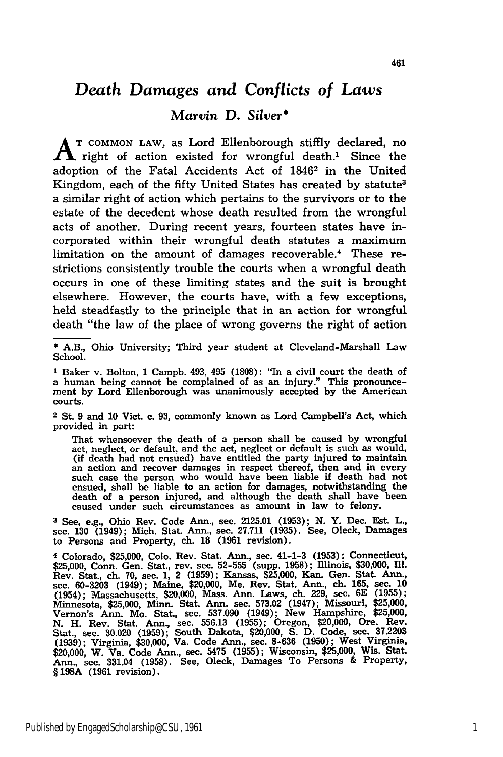## *Death Damages and Conflicts of Laws*

### *Marvin* **D.** *Silver\**

**A T COMMON LAW,** as Lord Ellenborough stiffly declared, no  $\Lambda$  right of action existed for wrongful death.<sup>1</sup> Since the adoption of the Fatal Accidents Act of 1846<sup>2</sup> in the United Kingdom, each of the fifty United States has created **by** statute3 a similar right of action which pertains to the survivors or to the estate of the decedent whose death resulted from the wrongful acts of another. During recent years, fourteen states have incorporated within their wrongful death statutes a maximum limitation on the amount of damages recoverable.<sup>4</sup> These restrictions consistently trouble the courts when a wrongful death occurs in one of these limiting states and the suit is brought elsewhere. However, the courts have, with a few exceptions, held steadfastly to the principle that in an action for wrongful death "the law of the place of wrong governs the right of action

**2** St. 9 and 10 Vict. c. 93, commonly known as Lord Campbell's Act, which provided in part:

That whensoever the death of a person shall be caused by wrongful act, neglect, or default, and the act, neglect or default is such as would, (if death had not ensued) have entitled the party injured to maintain an action and recover damages in respect thereof, then and in every such case the person who would have been liable if death had not ensued, shall be liable to an action for damages, notwithstanding the death of a person injured, and although the death shall have been caused under such circumstances as amount in law to felony.

**3** See, e.g., Ohio Rev. Code Ann., sec. 2125.01 (1953); **N.** Y. Dec. Est. L., sec. **130** (1949); Mich. Stat. Ann., sec. 27.711 (1935). See, Oleck, Damages to Persons and Property, ch. **18** (1961 revision).

**4** Colorado, \$25,000, Colo. Rev. Stat. Ann., sec. 41-1-3 **(1953);** Connecticut, \$25,000, Conn. Gen. Stat., rev. sec. **52-555** (supp. 1958); Illinois, \$30,000, ill. Rev. Stat., ch. **70,** sec. 1, 2 (1959); Kansas, \$25,000, Kan. Gen. Stat. Ann., sec. **60-3203** (1949); Maine, \$20,000, Me. Rev. Stat. Ann., ch. 165, sec. **10** (1954); Massachusetts, \$20,000, Mass. Ann. Laws, ch. 229, sec. 6E (1955); Minnesota, **\$25,000,** Minn. Stat. Ann. sec. **573.02** (1947); Missouri, **\$25,000,** Vernon's Ann. Mo. Stat., sec. **537.090** (1949); New Hampshire, **\$25,000, N.** H. Rev. Stat. Ann., sec. **556.13 (1955);** Oregon, \$20,000, Ore. Rev. Stat., sec. 30.020 (1959); South Dakota, \$20,000, S. D. Code, sec. 37.2203<br>(1939); Virginia, \$30,000, Va. Code Ann., sec. 8-636 (1950); West Virginia,<br>\$20,000, W. Va. Code Ann., sec. 5475 (1955); Wisconsin, \$25,000, Wis. S Ann., sec. 331.04 **(1958).** See, Oleck, Damages To Persons **&** Property, § **198A (1961** revision).

<sup>\*</sup> A.B., Ohio University; Third year student at Cleveland-Marshall Law School.

**<sup>1</sup>**Baker v. Bolton, 1 Campb. 493, 495 (1808): "In a civil court the death of a human being cannot be complained of as an injury." This pronouncement by Lord Ellenborough was unanimously accepted by the American courts.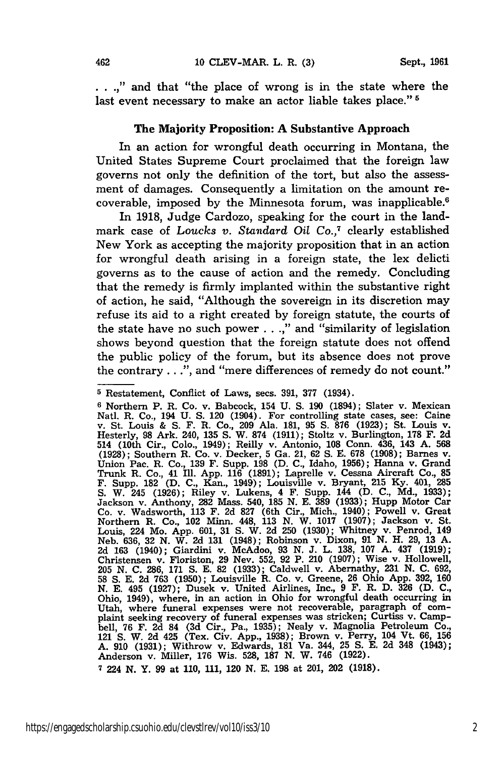...," and that "the place of wrong is in the state where the last event necessary to make an actor liable takes place." **5**

#### The Majority Proposition: **A** Substantive Approach

In an action for wrongful death occurring in Montana, the United States Supreme Court proclaimed that the foreign law governs not only the definition of the tort, but also the assessment of damages. Consequently a limitation on the amount recoverable, imposed by the Minnesota forum, was inapplicable.6

In 1918, Judge Cardozo, speaking for the court in the landmark case of *Loucks v. Standard Oil Co.,7* clearly established New York as accepting the majority proposition that in an action for wrongful death arising in a foreign state, the lex delicti governs as to the cause of action and the remedy. Concluding that the remedy is firmly implanted within the substantive right of action, he said, "Although the sovereign in its discretion may refuse its aid to a right created by foreign statute, the courts of the state have no such power . . .," and "similarity of legislation shows beyond question that the foreign statute does not offend the public policy of the forum, but its absence does not prove the contrary...", and "mere differences of remedy do not count."

**<sup>5</sup>** Restatement, Conflict of Laws, secs. **391, 377** (1934).

**<sup>6</sup>** Northern P. R. Co. v. Babcock, 154 U. S. **190** (1894); Slater v. Mexican Natl. R. Co., 194 U. S. 120 (1904). For controlling state cases, see: Caine<br>v. St. Louis & S. F. R. Co., 209 Ala. 181, 95 S. 876 (1923); St. Louis v.<br>Hesterly, 98 Ark. 240, 135 S. W. 874 (1911); Stoltz v. Burlington, 178 F 514 (10th Cir., Colo., 1949); Reilly v. Antonio, 108 Conn. 436, 143 A. 568 (1928); Southern R. Co. v. Decker, 5 Ga. 21, 62 S. E. 678 (1908); Barnes v Union Pac. R. Co., 139 F. Supp. 198 (D. C., Idaho, 1956); Hanna v. Grand Trunk R. Co., 41 Ill. App. **116 (1891);** Laprelle v. Cessna Aircraft Co., **85** F. Supp. **182 (D. C.,** Kan., 1949); Louisville v. Bryant, **215 Ky.** 401, **285** S. W. 245 (1926); Riley v. Lukens, 4 F. Supp. 144 (D. **C.,** Md., 1933); Jackson v. Anthony, **282** Mass. 540, **185** N. E. **389** (1933); Hupp Motor Car Co. v. Wadsworth, 113 F. 2d **827** (6th Cir., Mich., 1940); Powell v. Great Northern R. Co., 102 Minn. 448, 113 N. W. 1017 (1907); Jackson v. St. Louis, 224 Mo. App. 601, 31 S. W. 2d 250 (1930); Whitney v. Penrod, 149<br>Neb. 636, 32 N. W. 2d 131 (1948); Robinson v. Dixon, 91 N. H. 29, 13 A.<br>2d 163 (1940); Giardini v. McAdoo, 93 N. J. L. 138, 107 A. 437 (1919); Christensen v. Floriston, **29** Nev. 552, **92** P. 210 (1907); Wise v. Hollowell, 205 **N. C.** 286, **171 S. E. 82** (1933); Caldwell v. Abernathy, 231 **N.** C. 692, 58 **S.** E. 2d 763 (1950); Louisville R. Co. v. Greene, **26** Ohio App. **392,** 160 **N.** E. 495 (1927); Dusek v. United Airlines, Inc., 9 F. R. D. **326** (D. C., Ohio, 1949), where, in an action in Ohio for wrongful death occurring in Ohio, 1949), where, in an action in Ohio for wrongful death occurring in Utah, where funeral expenses were not recoverable, paragraph of com- plaint seeking recovery of funeral expenses was stricken; Curtiss v. Campbell, **76** F. 2d 84 (3d Cir., Pa., 1935); Nealy v. Magnolia Petroleum Co., 121 **S.** W. 2d 425 (Tex. Civ. App., 1938); Brown v. Perry, 104 Vt. 66, 156 **A. 910** (1931); Withrow v. Edwards, **181** Va. 344, 25 **S. E.** 2d 348 (1943); Anderson v. Miller, 176 Wis. 528, **187** N. W. 746 (1922).

**<sup>7</sup>**224 **N.** Y. 99 at 110, 111, 120 **N. E. 198** at 201, 202 (1918).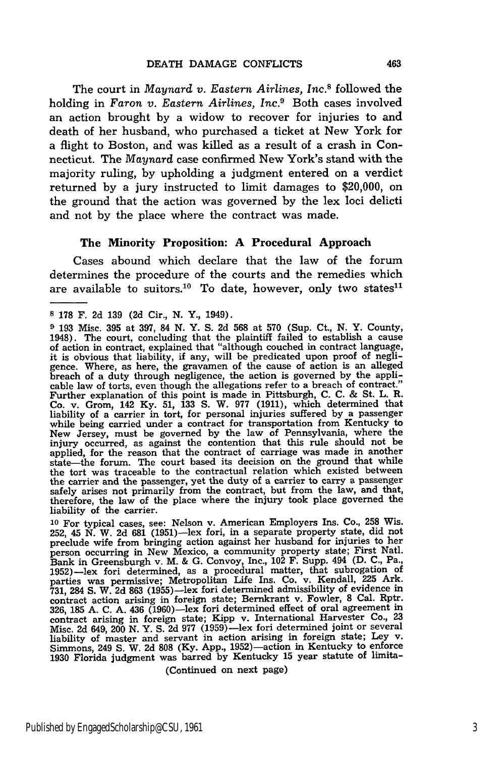The court in *Maynard v. Eastern Airlines, Inc.8* followed the holding in *Faron v. Eastern Airlines, Inc.9* Both cases involved an action brought by a widow to recover for injuries to and death of her husband, who purchased a ticket at New York for a flight to Boston, and was killed as a result of a crash in Connecticut. The *Maynard* case confirmed New York's stand with the majority ruling, by upholding a judgment entered on a verdict returned by a jury instructed to limit damages to \$20,000, on the ground that the action was governed by the lex loci delicti and not by the place where the contract was made.

#### The Minority Proposition: **A** Procedural Approach

Cases abound which declare that the law of the forum determines the procedure of the courts and the remedies which are available to suitors.<sup>10</sup> To date, however, only two states<sup>11</sup>

**<sup>10</sup>**For typical cases, see: Nelson v. American Employers Ins. Co., **258** Wis. **252,** 45 N. W. 2d **681** (1951)-lex fori, in a separate property state, did not preclude wife from bringing action against her husband for injuries to her person occurring in New Mexico, a community property state; First Natl. Bank in Greensburgh v. M. & G. Convoy, Inc., 102 F. Supp. 494 (D. C., Pa., 1952)-lex fori determined, as a procedural matter, that subrogation of parties was permissive; Metropolitan Life Ins. Co. v. Kendall, **225** Ark. 731, 284 S. W. 2d 863 (1955)—lex fori determined admissibility of evidence in contract action arising in foreign state; Bernkrant v. Fowler, 8 Cal. Rptr.<br>326, 185 A. C. A. 436 (1960)—lex fori determined effect of oral agre contract arising in foreign state; Kipp v. International Harvester Co., 23 Misc. 2d 649, 200 N. Y. S. 2d 977 (1959)-lex fori determined joint or several liability of master and servant in action arising in foreign state; Ley v. Simmons, 249 **S.** W. **2d 808** (Ky. App., 1952)-action in Kentucky to enforce 1930 Florida judgment was barred by Kentucky 15 year statute of limita-

(Continued on next page)

**<sup>8 178</sup>** F. **2d 139 (2d** Cir., **N.** Y., 1949).

**<sup>9 193</sup>** Misc. **395** at **397,** 84 **N.** Y. **S. 2d 568** at **570** (Sup. Ct., **N.** Y. County, 1948). The court, concluding that the plaintiff failed to establish a cause of action in contract, explained that "although couched in contract language, it is obvious that liability, if any, will be predicated upon proof of negli-gence. Where, as here, the gravamen of the cause of action is an alleged breach of a duty through negligence, the action is governed **by** the applicable law of torts, even though the allegations refer to a breach of contract." Further explanation of this point is made in Pittsburgh, **C. C. &** St. L. R. Co. v. Grom, 142 Ky. 51, 133 S. W. 977 (1911), which determined that liability of a carrier in tort, for personal injuries suffered by a passenger<br>while being carried under a contract for transportation from Kentucky to<br>New Jersey, must be governed by the law of Pennsylvania, where the injury occurred, as against the contention that this rule should not be applied, for the reason that the contract of carriage was made in another state-the forum. The court based its decision on the ground that while the tort was traceable to the contractual relation which existed between the carrier and the passenger, yet the duty of a carrier to carry a passenger safely arises not primarily from the contract, but from the law, and that, therefore, the law of the place where the injury took place governed the liability of the carrier.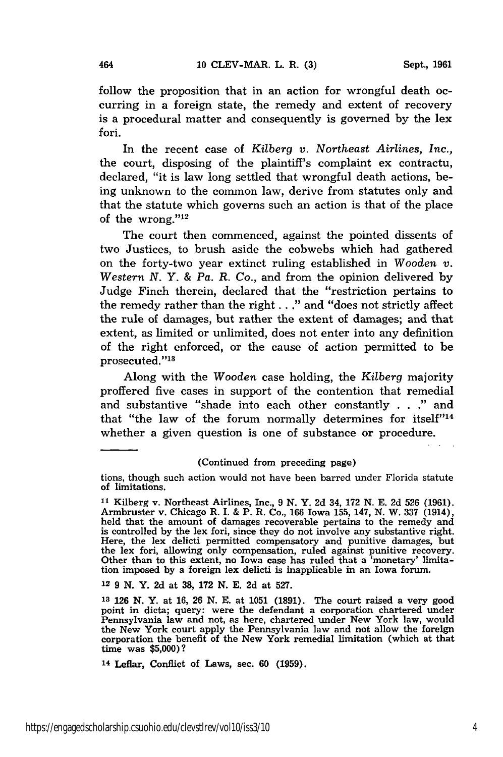follow the proposition that in an action for wrongful death occurring in a foreign state, the remedy and extent of recovery is a procedural matter and consequently is governed by the lex fori.

In the recent case of *Kilberg v. Northeast Airlines, Inc.,* the court, disposing of the plaintiff's complaint ex contractu, declared, "it is law long settled that wrongful death actions, being unknown to the common law, derive from statutes only and that the statute which governs such an action is that of the place of the wrong." $12$ 

The court then commenced, against the pointed dissents of two Justices, to brush aside the cobwebs which had gathered on the forty-two year extinct ruling established in *Wooden v. Western N. Y. & Pa. R. Co.,* and from the opinion delivered by Judge Finch therein, declared that the "restriction pertains to the remedy rather than the right.. ." and "does not strictly affect the rule of damages, but rather the extent of damages; and that extent, as limited or unlimited, does not enter into any definition of the right enforced, or the cause of action permitted to be prosecuted."<sup>13</sup>

Along with the *Wooden* case holding, the *Kilberg* majority proffered five cases in support of the contention that remedial and substantive "shade into each other constantly . . ." and that "the law of the forum normally determines for itself" $14$ whether a given question is one of substance or procedure.

#### (Continued from preceding page)

12 9 N. Y. **2d** at **38, 172** N. E. 2d at 527.

tions, though such action would not have been barred under Florida statute of limitations.

**<sup>11</sup>**Kilberg v. Northeast Airlines, Inc., 9 N. Y. 2d 34, 172 N. E. 2d **526** (1961). Armbruster v. Chicago R. I. & P. R. Co., 166 Iowa 155, 147, N. W. 337 (1914), held that the amount of damages recoverable pertains to the remedy and is controlled by the lex fori, since they do not involve any substantive right. is controlled by the lex fori, since they do not involve any substantive right. Here, the lex delicti permitted compensatory and punitive damages, but the lex fori, allowing only compensation, ruled against punitive recovery. Other than to this extent, no Iowa case has ruled that a 'monetary' limitation imposed by a foreign lex delicti is inapplicable in an Iowa forum.

**<sup>13</sup>**126 N. Y. at 16, 26 N. E. at 1051 (1891). The court raised a very good point in dicta; query: were the defendant a corporation chartered under Pennsylvania law and not, as here, chartered under New York law, would the New York court apply the Pennsylvania law and not allow the foreign corporation the benefit of the New York remedial limitation (which at that corporation the benefit of the New York remedial limitation (which at that time was  $$5,000$ )?

<sup>14</sup> Leflar, Conflict of Laws, sec. **60** (1959).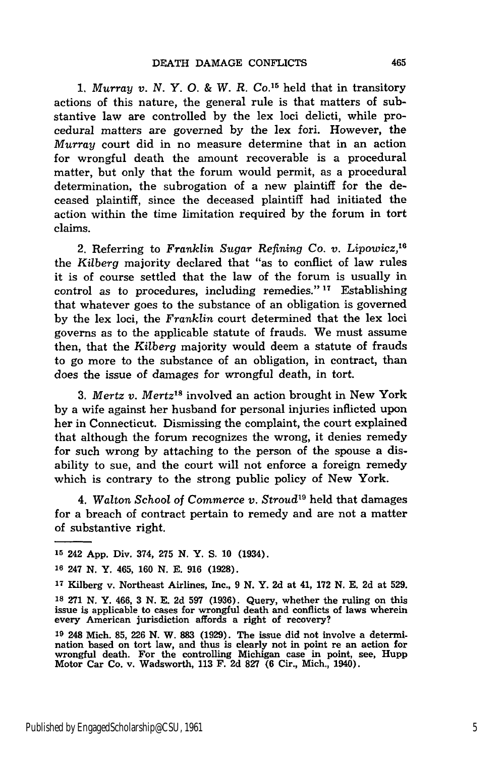**1.** *Murray v. N. Y. 0. & W. R. Co.15* held that in transitory actions of this nature, the general rule is that matters of substantive law are controlled by the lex loci delicti, while procedural matters are governed by the lex fori. However, the *Murray* court did in no measure determine that in an action for wrongful death the amount recoverable is a procedural matter, but only that the forum would permit, as a procedural determination, the subrogation of a new plaintiff for the deceased plaintiff, since the deceased plaintiff had initiated the action within the time limitation required by the forum in tort claims.

2. Referring to *Franklin Sugar Refining Co. v. Lipowicz, <sup>16</sup>* the *Kilberg* majority declared that "as to conflict of law rules it is of course settled that the law of the forum is usually in control as to procedures, including remedies." **17** Establishing that whatever goes to the substance of an obligation is governed by the lex loci, the *Franklin* court determined that the lex loci governs as to the applicable statute of frauds. We must assume then, that the *Kilberg* majority would deem a statute of frauds to go more to the substance of an obligation, in contract, than does the issue of damages for wrongful death, in tort.

3. *Mertz v. Mertz"'* involved an action brought in New York by a wife against her husband for personal injuries inflicted upon her in Connecticut. Dismissing the complaint, the court explained that although the forum recognizes the wrong, it denies remedy for such wrong by attaching to the person of the spouse a disability to sue, and the court will not enforce a foreign remedy which is contrary to the strong public policy of New York.

4. *Walton School of Commerce v. Stroud19* held that damages for a breach of contract pertain to remedy and are not a matter of substantive right.

**<sup>15</sup>**242 App. Div. 374, 275 **N.** Y. **S.** 10 (1934).

**<sup>16</sup>**247 **N.** Y. 465, 160 **N.** E. 916 (1928).

**<sup>17</sup>**Kilberg v. Northeast Airlines, Inc., 9 **N.** Y. 2d at 41, 172 **N.** E. 2d at 529.

**<sup>18</sup>**271 **N.** Y. 466, **3 N.** E. 2d **597 (1936).** Query, whether the ruling on this issue is applicable to cases for wrongful death and conflicts of laws wherein every American jurisdiction affords a right of recovery?

**<sup>19</sup>** 248 Mich. **85, 226 N.** W. **883** (1929). The issue did not involve a determination based on tort law, and thus is clearly not in point re an action for wrongful death. For the controlling Michigan case in point, see, Hupp Motor Car Co. v. Wadsworth, 113 F. 2d **827** (6 Cir., Mich., 1940).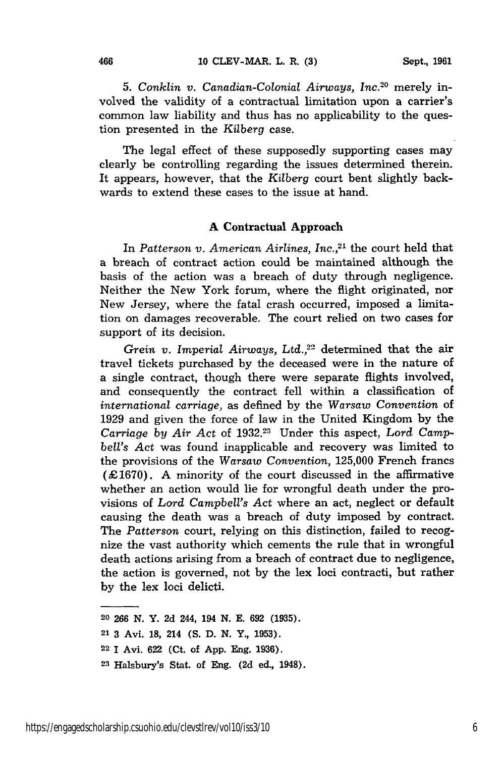**5.** *Conklin v. Canadian-Colonial Airways, Inc.2 0* merely involved the validity of a contractual limitation upon a carrier's common law liability and thus has no applicability to the question presented in the *Kilberg* case.

The legal effect of these supposedly supporting cases may clearly be controlling regarding the issues determined therein. It appears, however, that the *Kilberg* court bent slightly backwards to extend these cases to the issue at hand.

#### **A Contractual Approach**

In *Patterson v. American Airlines, Inc.,21* the court held that a breach of contract action could be maintained although the basis of the action was a breach of duty through negligence. Neither the New York forum, where the flight originated, nor New Jersey, where the fatal crash occurred, imposed a limitation on damages recoverable. The court relied on two cases for support of its decision.

*Grein v. Imperial Airways, Ltd.,22* determined that the air travel tickets purchased by the deceased were in the nature of a single contract, though there were separate flights involved, and consequently the contract fell within a classification of *international carriage,* as defined by the *Warsaw Convention* of 1929 and given the force of law in the United Kingdom by the *Carriage by Air Act* of 1932.23 Under this aspect, *Lord Campbell's Act* was found inapplicable and recovery was limited to the provisions of the *Warsaw Convention,* 125,000 French francs (£1670). A minority of the court discussed in the affirmative whether an action would lie for wrongful death under the provisions of *Lord Campbell's Act* where an act, neglect or default causing the death was a breach of duty imposed by contract. The *Patterson* court, relying on this distinction, failed to recognize the vast authority which cements the rule that in wrongful death actions arising from a breach of contract due to negligence, the action is governed, not by the lex loci contracti, but rather by the lex loci delicti.

<sup>20</sup> **266 N.** Y. **2d** 244, 194 **N. E. 692 (1935).**

<sup>21</sup>3 Avi. **18,** 214 (S. D. **N.** Y., 1953).

<sup>22</sup>1 Avi. 622 (Ct. of App. Eng. 1936).

**<sup>23</sup>**Halsbury's Stat. of Eng. **(2d** ed., 1948).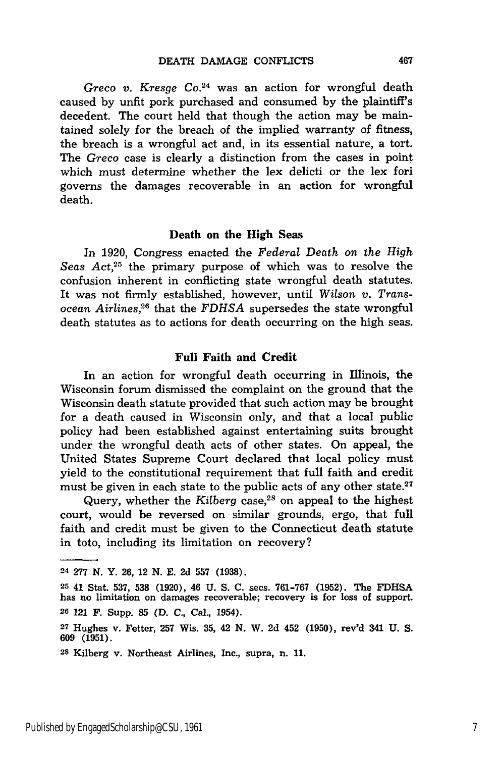Greco v. Kresge Co.<sup>24</sup> was an action for wrongful death caused by unfit pork purchased and consumed by the plaintiff's decedent. The court held that though the action may be maintained solely for the breach of the implied warranty of fitness, the breach is a wrongful act and, in its essential nature, a tort. The *Greco* case is clearly a distinction from the cases in point which must determine whether the lex delicti or the lex fori governs the damages recoverable in an action for wrongful death.

#### Death on the High Seas

In 1920, Congress enacted the *Federal Death on the High Seas Act,25* the primary purpose of which was to resolve the confusion inherent in conflicting state wrongful death statutes. It was not firmly established, however, until *Wilson v. Trans*ocean *Airlines,2 6* that the *FDHSA* supersedes the state wrongful death statutes as to actions for death occurring on the high seas.

#### **Full Faith and Credit**

In an action for wrongful death occurring in Illinois, **the** Wisconsin forum dismissed the complaint on the ground that the Wisconsin death statute provided that such action may be brought for a death caused in Wisconsin only, and that a local public policy had been established against entertaining suits brought under the wrongful death acts of other states. On appeal, the United States Supreme Court declared that local policy must yield to the constitutional requirement that full faith and credit must be given in each state to the public acts of any other state.<sup>27</sup>

Query, whether the *Kilberg* case,<sup>28</sup> on appeal to the highest court, would be reversed on similar grounds, ergo, that full faith and credit must be given to the Connecticut death statute in toto, including its limitation on recovery?

**<sup>24 277</sup> N.** Y. **26, 12 N. E. 2d 557 (1938).**

**<sup>25</sup>**41 Stat. **537, 538 (1920),** 46 **U. S. C.** secs. **761-767 (1952).** The **FDHSA** has no limitation on damages recoverable; recovery is for loss of support. **<sup>26</sup>**121 F. Supp. **85 (D. C.,** Cal., 1954).

**<sup>27</sup>**Hughes v. Fetter, **257** Wis. **35,** 42 **N.** W. **2d** 452 **(1950),** rev'd 341 **U. S.** 609 (1951).

**<sup>28</sup>**Kilberg v. Northeast Airlines, Inc., supra, n. 11.